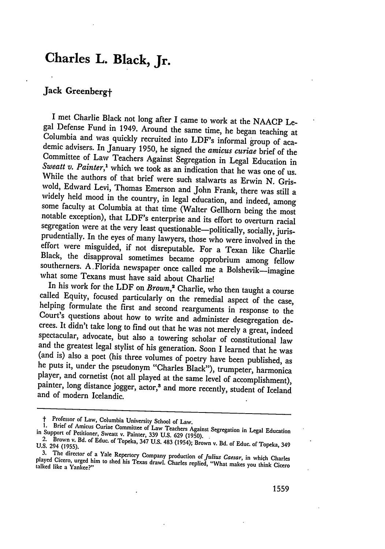## **Charles L. Black, Jr.**

## **Jack Greenbergt**

I met Charlie Black not long after I came to work at the NAACP Legal Defense Fund in 1949. Around the same time, he began teaching at Columbia and was quickly recruited into LDF's informal group of academic advisers. In Ja While the authors of that brief were such stalwarts as Erwin N. Gris-Sweatt v. Painter,<sup>1</sup> which we took as an indication that he was one of us<br>While the authors of that brief were such stalwarts as Erwin N. Gris-<br>wold, Edward Levi, Thomas Emerson and John Frank, there was still a<br>wold, Ed

painter, long distance jogger, actor,<sup>3</sup> and more recently, student of Iceland and of modern Icelandic.

t **1.** Professor

<sup>1.</sup> Brief of Amicus Curiae Committee of Law Teachers Against Segregation in Legal Education<br>in Support of Petitioner, Sweatt v. Painter, 339 U.S. 629 (1950).<br>2. Brown v. Bd. of Educ. of Topeka, 347 U.S. 483 (1954); Brown v.

**<sup>3.</sup>** The

played no un<br>Cicero 3. The director of a Yale Repertory Company production of *Julius Caesar*, in which Charles played Cicero, urged him to shed his Texas drawl. Charles replied, "What makes you think Cicero talked like a Yankee?"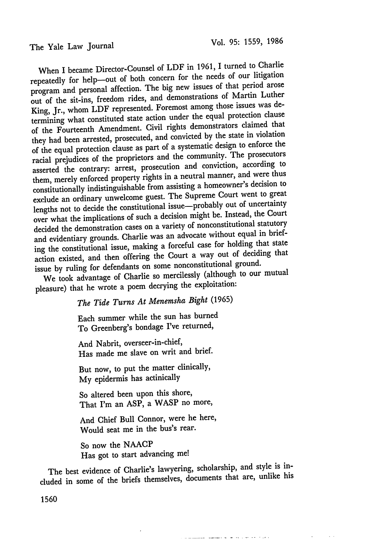The Yale Law Journal

When I became Director-Counsel of LDF in 1961, I turned to Charlie repeatedly for help--out of both concern for the needs of our litigation program and personal affection. The big new issues of that period arose out of the sit-ins, freedom rides, and demonstrations of Martin Luther King, Jr., whom LDF represented. Foremost among those issues was determining what constituted state action under the equal protection clause of the Fourteenth Amendment. Civil rights demonstrators claimed that they had been arrested, prosecuted, and convicted by the state in violation of the equal protection clause as part of a systematic design to enforce the racial prejudices of the proprietors and the community. The prosecutors asserted the contrary: arrest, prosecution and conviction, according to them, merely enforced property rights in a neutral manner, and were thus constitutionally indistinguishable from assisting a homeowner's decision to exclude an ordinary unwelcome guest. The Supreme Court went to great lengths not to decide the constitutional issue—probably out of uncertainty over what the implications of such a decision might be. Instead, the Court decided the demonstration cases on a variety of nonconstitutional statutory and evidentiary grounds. Charlie was an advocate without equal in briefing the constitutional issue, making a forceful case for holding that state action existed, and then offering the Court a way out of deciding that issue by ruling for defendants on some nonconstitutional ground.

We took advantage of Charlie so mercilessly (although to our mutual pleasure) that he wrote a poem decrying the exploitation:

*The Tide Turns At Menemsha Bight* (1965)

Each summer while the sun has burned To Greenberg's bondage I've returned,

And Nabrit, overseer-in-chief, Has made me slave on writ and brief.

But now, to put the matter clinically, **My** epidermis has actinically

So altered been upon this shore, That I'm an ASP, a WASP no more,

And Chief Bull Connor, were he here, Would seat me in the bus's rear.

So now the NAACP Has got to start advancing me!

The best evidence of Charlie's lawyering, scholarship, and style is included in some of the briefs themselves, documents that are, unlike his

<u>a mandat de la provincia de la contrada de la con</u>

1560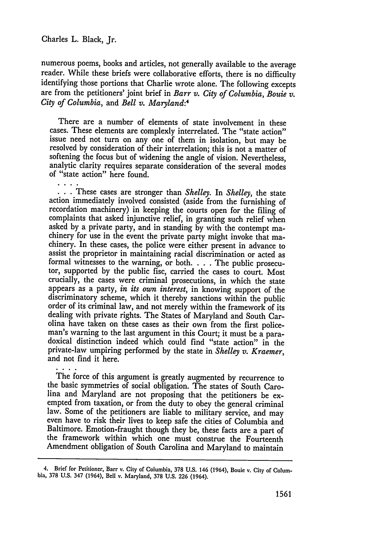$\mathbf{L}$ 

numerous poems, books and articles, not generally available to the average reader. While these briefs were collaborative efforts, there is no difficulty identifying those portions that Charlie wrote alone. The following excepts are from the petitioners' joint brief in *Barr v. City of Columbia, Bouie v. City of Columbia,* and *Bell v. Maryland:4*

There are a number of elements of state involvement in these cases. These elements are complexly interrelated. The "state action" issue need not turn on any one of them in isolation, but may be resolved by consideration of their interrelation; this is not a matter of softening the focus but of widening the angle of vision. Nevertheless, analytic clarity requires separate consideration of the several modes of "state action" here found.

*•* **. .** These cases are stronger than *Shelley.* In *Shelley,* the state action immediately involved consisted (aside from the furnishing of recordation machinery) in keeping the courts open for the filing of complaints that asked injunctive relief, in granting such relief when asked by a private party, and in standing by with the contempt machinery for use in the event the private party might invoke that machinery. In these cases, the police were either present in advance to assist the proprietor in maintaining racial discrimination or acted as formal witnesses to the warning, or both. . **.** . The public prosecutor, supported by the public fisc, carried the cases to court. Most crucially, the cases were criminal prosecutions, in which the state appears as a party, *in its own interest,* in knowing support of the discriminatory scheme, which it thereby sanctions within the public order of its criminal law, and not merely within the framework of its dealing with private rights. The States of Maryland and South Car-<br>olina have taken on these cases as their own from the first policeman's warning to the last argument in this Court; it must be a para-<br>doxical distinction indeed which could find "state action" in the private-law umpiring performed by the state in *Shelley v. Kraemer,* and not find it here.

The force of this argument is greatly augmented by recurrence to the basic symmetries of social obligation. The states of South Carolina and Maryland are not proposing that the petitioners be exempted from taxation, or from the duty to obey the general criminal law. Some of the petitioners are liable to military service, and may even have to risk their lives to keep safe the cities of Columbia and Baltimore. Emotion-fraught though they be, these facts are a part of the framework within which one must construe the Fourteenth Amendment obligation of South Carolina and Maryland to maintain

<sup>4.</sup> Brief for Petitioner, Barr v. City of Columbia, **378 U.S.** 146 (1964), Bouie v. City of Columbia, **378 U.S.** 347 (1964), Bell v. Maryland, **378 U.S. 226** (1964).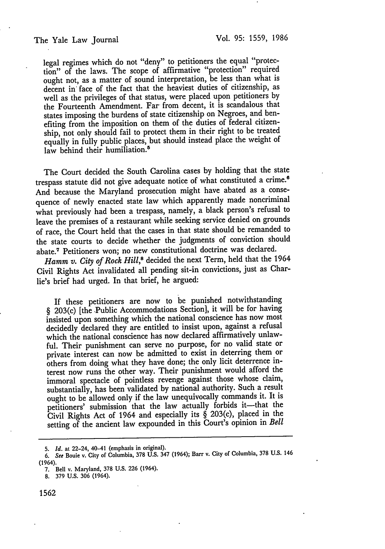legal regimes which do not "deny" to petitioners the equal "protection" of the laws. The scope of affirmative "protection" required ought not, as a matter of sound interpretation, be less than what is decent in face of the fact that the heaviest duties of citizenship, as well as the privileges of that status, were placed upon petitioners by the Fourteenth Amendment. Far from decent, it is scandalous that states imposing the burdens of state citizenship on Negroes, and benefiting from the imposition on them of the duties of federal citizenship, not only should fail to protect them in their right to be treated equally in fully public places, but should instead place the weight of law behind their humiliation.<sup>5</sup>

The Court decided the South Carolina cases by holding that the state trespass statute did not give adequate notice of what constituted a crime. <sup>6</sup> And because the Maryland prosecution might have abated as a consequence of newly enacted state law which apparently made noncriminal what previously had been a trespass, namely, a black person's refusal to leave the premises of a restaurant while seeking service denied on grounds of race, the Court held that the cases in that state should be remanded to the state courts to decide whether the judgments of conviction should abate.7 Petitioners won; no new constitutional doctrine was declared.

Hamm v. City of Rock Hill,<sup>8</sup> decided the next Term, held that the 1964 Civil Rights Act invalidated all pending sit-in convictions, just as Charlie's brief had urged. In that brief, he argued:

If these petitioners are now to be punished notwithstanding § 203(c) [the .Public Accommodations Section], it will be for having insisted upon something which the national conscience has now most decidedly declared they are entitled to insist upon, against a refusal which the national conscience has now declared affirmatively unlawful. Their punishment can serve no purpose, for no valid state or private interest can now be admitted to exist in deterring them or others from doing what they have done; the only licit deterrence interest now runs the other way. Their punishment would afford the immoral spectacle of pointless revenge against those whose claim, substantially, has been validated by national authority. Such a result ought to be allowed only if the law unequivocally commands it. It is petitioners' submission that the law actually forbids it-that the Civil Rights Act of 1964 and especially its  $\S$  203(c), placed in the setting of the ancient law expounded in this Court's opinion in *Bell*

<sup>5.</sup> *Id.* at 22-24, 40-41 (emphasis in original).

*<sup>6.</sup> See* Bouie v. City of Columbia, 378 U.S. 347 (1964); Barr v. City of Columbia, **378** U.S. 146 (1964).

<sup>7.</sup> Bell v. Maryland, 378 U.S. 226 (1964).

<sup>8. 379</sup> U.S. 306 (1964).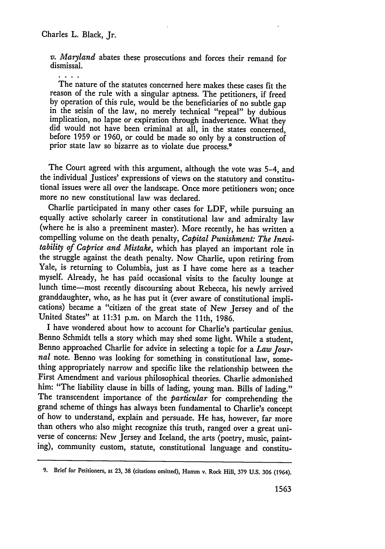*v. Maryland* abates these prosecutions and forces their remand for dismissal.

 $\cdot$  . . . The nature of the statutes concerned here makes these cases fit the reason of the rule with a singular aptness. The petitioners, if freed by operation of this rule, would be the beneficiaries of no subtle gap in the seisin of the law, no merely technical "repeal" by dubious implication, no lapse or expiration through inadvertence. What they did would not have been criminal at all, in the states concerned, before 1959 or 1960, or could be made so only by a construction of prior state law so bizarre as to violate due process.<sup>9</sup>

The Court agreed with this argument, although the vote was 5-4, and the individual Justices' expressions of views on the statutory and constitutional issues were all over the landscape. Once more petitioners won; once more no new constitutional law was declared.

Charlie participated in many other cases for LDF, while pursuing an equally active scholarly career in constitutional law and admiralty law (where he is also a preeminent master). More recently, he has written a compelling volume on the death penalty, *Capital Punishment: The Inevitability of Caprice and Mistake,* which has played an important role in the struggle against the death penalty. Now Charlie, upon retiring from Yale, is returning to Columbia, just as I have come here as a teacher myself. Already, he has paid occasional visits to the faculty lounge at lunch time-most recently discoursing about Rebecca, his newly arrived granddaughter, who, as he has put it (ever aware of constitutional impli- cations) became a "citizen of the great state of New Jersey and of the United States" at 11:31 p.m. on March the 11th, 1986.

I have wondered about how to account for Charlie's particular genius. Benno Schmidt tells a story which may shed some light. While a student, Benno approached Charlie for advice in selecting a topic for a *Law Jour*nal note. Benno was looking for something in constitutional law, something appropriately narrow and specific like the relationship between the First Amendment and various philosophical theories. Charlie admonished him: "The liability clause in bills of lading, young man. Bills of lading." The transcendent importance of the *particular* for comprehending the grand scheme of things has always been fundamental to Charlie's concept of how to understand, explain and persuade. He has, however, far more than others who also might recognize this truth, ranged over a great universe of concerns: New Jersey and Iceland, the arts (poetry, music, painting), community custom, statute, constitutional language and constitu-

**<sup>9.</sup>** Brief for Petitioners, at **23, 38** (citations omitted), Hamm v. Rock Hill, **379 U.S. 306** (1964).